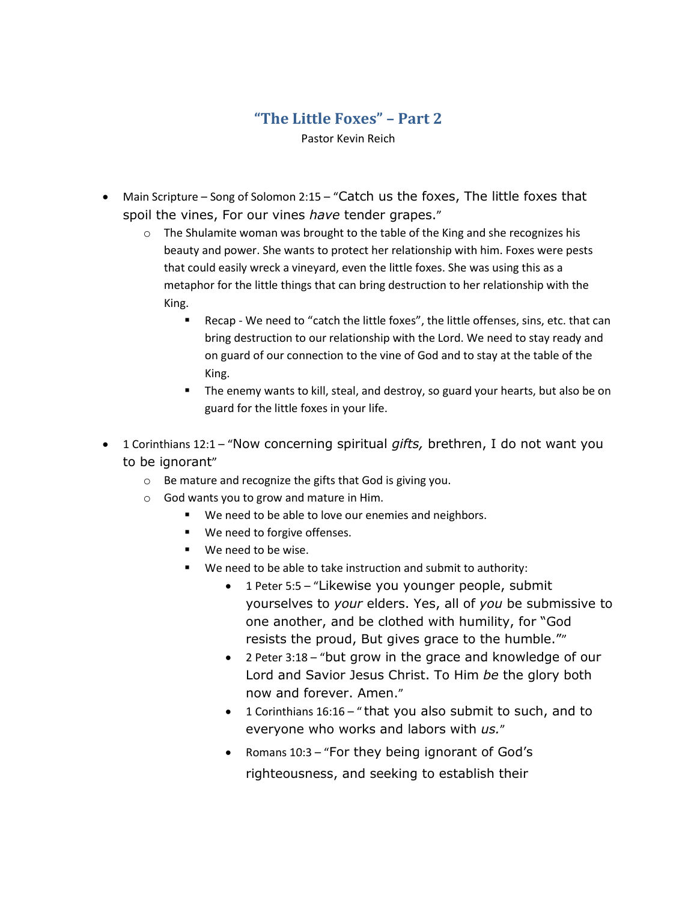## **"The Little Foxes" – Part 2** Pastor Kevin Reich

- Main Scripture Song of Solomon 2:15 "Catch us the foxes, The little foxes that spoil the vines, For our vines *have* tender grapes."
	- $\circ$  The Shulamite woman was brought to the table of the King and she recognizes his beauty and power. She wants to protect her relationship with him. Foxes were pests that could easily wreck a vineyard, even the little foxes. She was using this as a metaphor for the little things that can bring destruction to her relationship with the King.
		- Recap We need to "catch the little foxes", the little offenses, sins, etc. that can bring destruction to our relationship with the Lord. We need to stay ready and on guard of our connection to the vine of God and to stay at the table of the King.
		- **The enemy wants to kill, steal, and destroy, so guard your hearts, but also be on** guard for the little foxes in your life.
- 1 Corinthians 12:1 "Now concerning spiritual *gifts,* brethren, I do not want you to be ignorant"
	- o Be mature and recognize the gifts that God is giving you.
	- o God wants you to grow and mature in Him.
		- We need to be able to love our enemies and neighbors.
		- **We need to forgive offenses.**
		- We need to be wise.
		- We need to be able to take instruction and submit to authority:
			- 1 Peter 5:5 "Likewise you younger people, submit yourselves to *your* elders. Yes, all of *you* be submissive to one another, and be clothed with humility, for "God resists the proud, But gives grace to the humble.""
			- 2 Peter 3:18 "but grow in the grace and knowledge of our Lord and Savior Jesus Christ. To Him *be* the glory both now and forever. Amen."
			- 1 Corinthians 16:16 " that you also submit to such, and to everyone who works and labors with *us.*"
			- Romans 10:3 "For they being ignorant of God's righteousness, and seeking to establish their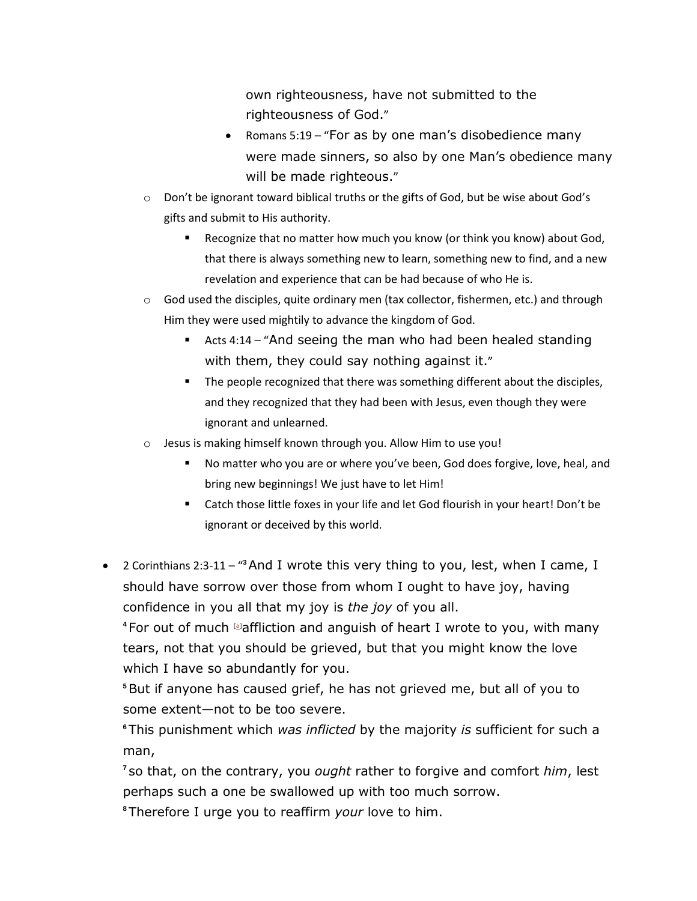own righteousness, have not submitted to the righteousness of God."

- Romans 5:19 "For as by one man's disobedience many were made sinners, so also by one Man's obedience many will be made righteous."
- o Don't be ignorant toward biblical truths or the gifts of God, but be wise about God's gifts and submit to His authority.
	- **EXECOGNIZE THAT ADDETED THE MOVIG WATER THE VIOLAT COM** FOOT THOUSE OF A RECOGNIZED A RECOGNIZED A RECOGNIZED A that there is always something new to learn, something new to find, and a new revelation and experience that can be had because of who He is.
- $\circ$  God used the disciples, quite ordinary men (tax collector, fishermen, etc.) and through Him they were used mightily to advance the kingdom of God.
	- Acts 4:14 "And seeing the man who had been healed standing with them, they could say nothing against it."
	- **The people recognized that there was something different about the disciples,** and they recognized that they had been with Jesus, even though they were ignorant and unlearned.
- o Jesus is making himself known through you. Allow Him to use you!
	- No matter who you are or where you've been, God does forgive, love, heal, and bring new beginnings! We just have to let Him!
	- Catch those little foxes in your life and let God flourish in your heart! Don't be ignorant or deceived by this world.
- 2 Corinthians 2:3-11 "<sup>3</sup> And I wrote this very thing to you, lest, when I came, I should have sorrow over those from whom I ought to have joy, having confidence in you all that my joy is *the joy* of you all.

**<sup>4</sup>** For out of much [\[a\]](https://www.biblegateway.com/passage/?search=2+Corinthians+2%3A3-11&version=NKJV#fen-NKJV-28829a)affliction and anguish of heart I wrote to you, with many tears, not that you should be grieved, but that you might know the love which I have so abundantly for you.

**<sup>5</sup>**But if anyone has caused grief, he has not grieved me, but all of you to some extent—not to be too severe.

**<sup>6</sup>** This punishment which *was inflicted* by the majority *is* sufficient for such a man,

**7** so that, on the contrary, you *ought* rather to forgive and comfort *him*, lest perhaps such a one be swallowed up with too much sorrow.

**<sup>8</sup>** Therefore I urge you to reaffirm *your* love to him.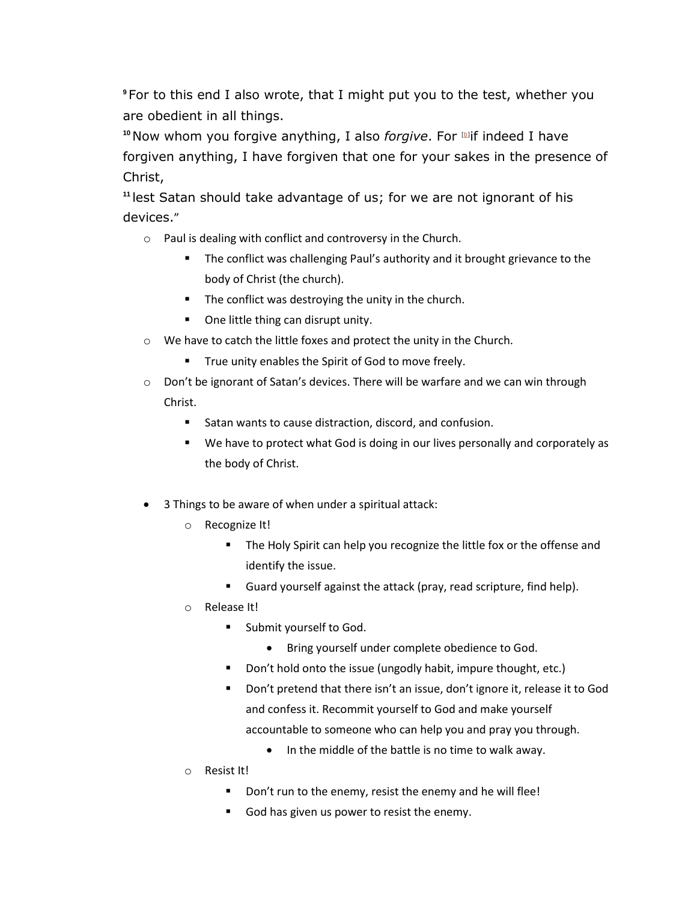**<sup>9</sup>** For to this end I also wrote, that I might put you to the test, whether you are obedient in all things.

**<sup>10</sup> Now whom you forgive anything, I also** *forgive***. For Levon Findeed I have** forgiven anything, I have forgiven that one for your sakes in the presence of Christ,

**<sup>11</sup>** lest Satan should take advantage of us; for we are not ignorant of his devices."

- o Paul is dealing with conflict and controversy in the Church.
	- The conflict was challenging Paul's authority and it brought grievance to the body of Christ (the church).
	- **The conflict was destroying the unity in the church.**
	- One little thing can disrupt unity.
- o We have to catch the little foxes and protect the unity in the Church.
	- **True unity enables the Spirit of God to move freely.**
- $\circ$  Don't be ignorant of Satan's devices. There will be warfare and we can win through Christ.
	- Satan wants to cause distraction, discord, and confusion.
	- We have to protect what God is doing in our lives personally and corporately as the body of Christ.
- 3 Things to be aware of when under a spiritual attack:
	- o Recognize It!
		- **The Holy Spirit can help you recognize the little fox or the offense and** identify the issue.
		- Guard yourself against the attack (pray, read scripture, find help).
	- o Release It!
		- **Submit yourself to God.** 
			- Bring yourself under complete obedience to God.
		- Don't hold onto the issue (ungodly habit, impure thought, etc.)
		- **Don't pretend that there isn't an issue, don't ignore it, release it to God** and confess it. Recommit yourself to God and make yourself accountable to someone who can help you and pray you through.
			- In the middle of the battle is no time to walk away.
	- o Resist It!
		- Don't run to the enemy, resist the enemy and he will flee!
		- God has given us power to resist the enemy.